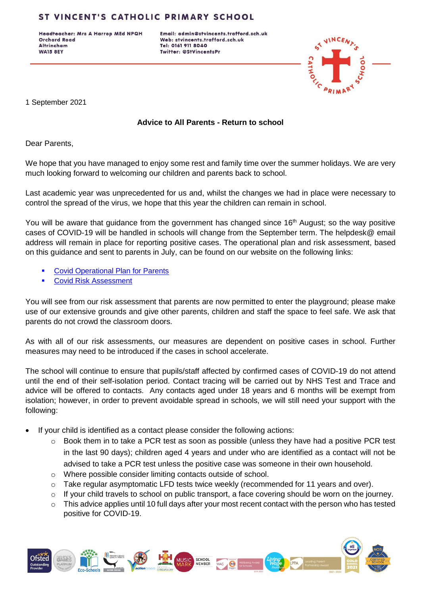# ST VINCENT'S CATHOLIC PRIMARY SCHOOL

Headteacher: Mrs A Harrop MEd NPQH **Orchard Road Altrincham WA15 8EY** 

Email: admin@stvincents.trafford.sch.uk Web: stvincents.trafford.sch.uk Tel: 0161 911 8040 Twitter: @StVincentsPr



1 September 2021

#### **Advice to All Parents - Return to school**

Dear Parents,

We hope that you have managed to enjoy some rest and family time over the summer holidays. We are very much looking forward to welcoming our children and parents back to school.

Last academic year was unprecedented for us and, whilst the changes we had in place were necessary to control the spread of the virus, we hope that this year the children can remain in school.

You will be aware that guidance from the government has changed since 16<sup>th</sup> August; so the way positive cases of COVID-19 will be handled in schools will change from the September term. The helpdesk@ email address will remain in place for reporting positive cases. The operational plan and risk assessment, based on this guidance and sent to parents in July, can be found on our website on the following links:

- [Covid Operational Plan for Parents](http://www.stvincents.trafford.sch.uk/uploads/120/files/September_21_Arrangements_Parents.pdf)
- **[Covid Risk Assessment](http://www.stvincents.trafford.sch.uk/uploads/120/files/Covid_Risk_Assessment_and_Outbreak_Plan_template_July_2021.pdf)**

You will see from our risk assessment that parents are now permitted to enter the playground; please make use of our extensive grounds and give other parents, children and staff the space to feel safe. We ask that parents do not crowd the classroom doors.

As with all of our risk assessments, our measures are dependent on positive cases in school. Further measures may need to be introduced if the cases in school accelerate.

The school will continue to ensure that pupils/staff affected by confirmed cases of COVID-19 do not attend until the end of their self-isolation period. Contact tracing will be carried out by NHS Test and Trace and advice will be offered to contacts. Any contacts aged under 18 years and 6 months will be exempt from isolation; however, in order to prevent avoidable spread in schools, we will still need your support with the following:

- If your child is identified as a contact please consider the following actions:
	- $\circ$  Book them in to take a PCR test as soon as possible (unless they have had a positive PCR test in the last 90 days); children aged 4 years and under who are identified as a contact will not be advised to take a PCR test unless the positive case was someone in their own household.
	- o Where possible consider limiting contacts outside of school.
	- $\circ$  Take regular asymptomatic LFD tests twice weekly (recommended for 11 years and over).
	- $\circ$  If your child travels to school on public transport, a face covering should be worn on the journey.
	- $\circ$  This advice applies until 10 full days after your most recent contact with the person who has tested positive for COVID-19.